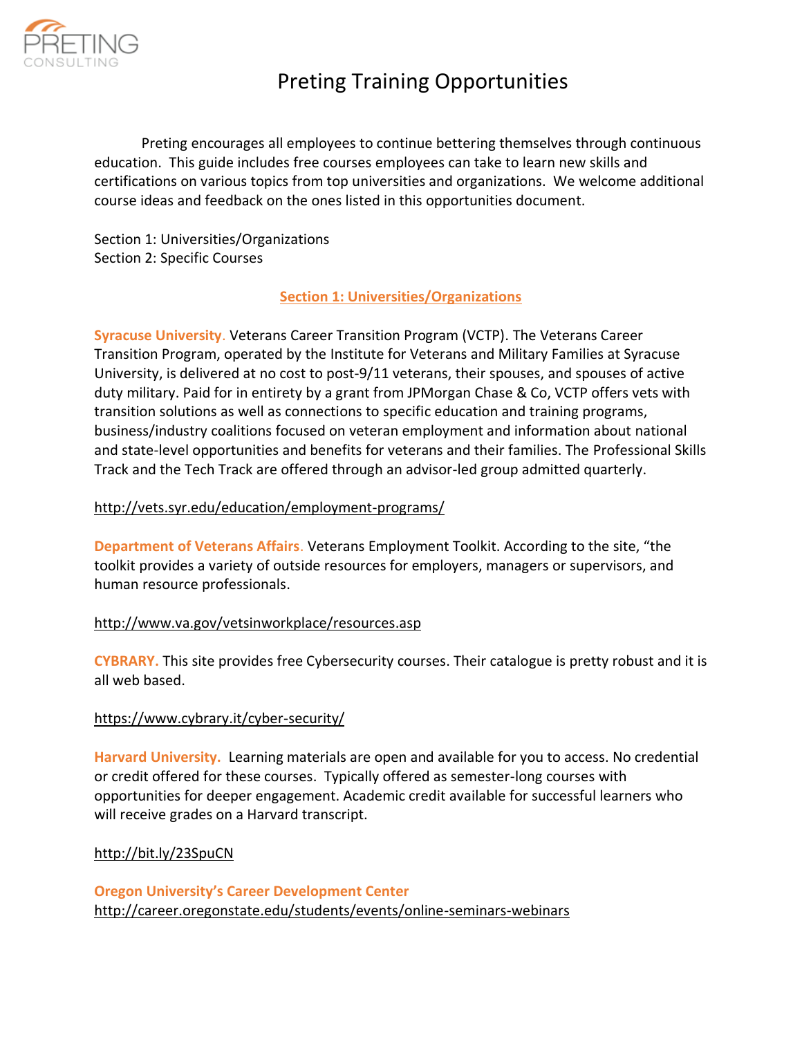

Preting encourages all employees to continue bettering themselves through continuous education. This guide includes free courses employees can take to learn new skills and certifications on various topics from top universities and organizations. We welcome additional course ideas and feedback on the ones listed in this opportunities document.

Section 1: Universities/Organizations Section 2: Specific Courses

# **Section 1: Universities/Organizations**

**Syracuse University**. Veterans Career Transition Program (VCTP). The Veterans Career Transition Program, operated by the Institute for Veterans and Military Families at Syracuse University, is delivered at no cost to post-9/11 veterans, their spouses, and spouses of active duty military. Paid for in entirety by a grant from JPMorgan Chase & Co, VCTP offers vets with transition solutions as well as connections to specific education and training programs, business/industry coalitions focused on veteran employment and information about national and state-level opportunities and benefits for veterans and their families. The Professional Skills Track and the Tech Track are offered through an advisor-led group admitted quarterly.

# <http://vets.syr.edu/education/employment-programs/>

**Department of Veterans Affairs**. Veterans Employment Toolkit. According to the site, "the toolkit provides a variety of outside resources for employers, managers or supervisors, and human resource professionals.

# <http://www.va.gov/vetsinworkplace/resources.asp>

**CYBRARY.** This site provides free Cybersecurity courses. Their catalogue is pretty robust and it is all web based.

# <https://www.cybrary.it/cyber-security/>

**Harvard University.**Learning materials are open and available for you to access. No credential or credit offered for these courses.Typically offered as semester-long courses with opportunities for deeper engagement. Academic credit available for successful learners who will receive grades on a Harvard transcript.

# <http://bit.ly/23SpuCN>

**Oregon University's Career Development Center** <http://career.oregonstate.edu/students/events/online-seminars-webinars>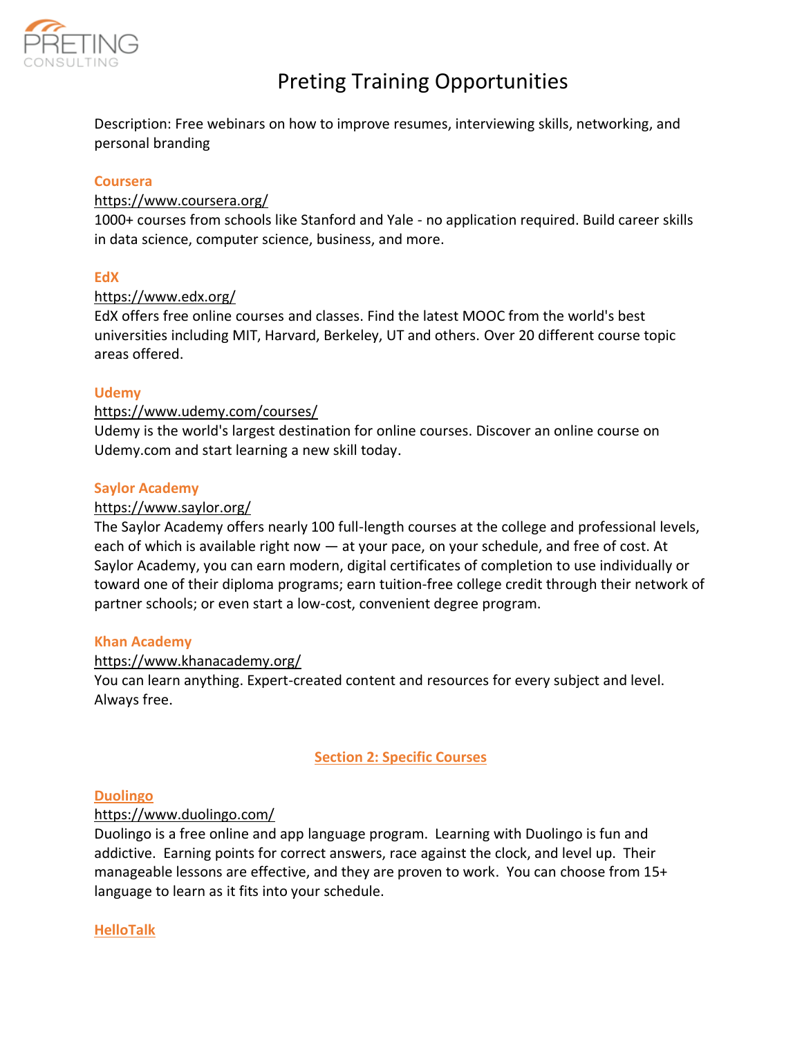

Description: Free webinars on how to improve resumes, interviewing skills, networking, and personal branding

### **Coursera**

### https://www.coursera.org/

1000+ courses from schools like Stanford and Yale - no application required. Build career skills in data science, computer science, business, and more.

#### **EdX**

#### <https://www.edx.org/>

EdX offers free online courses and classes. Find the latest MOOC from the world's best universities including MIT, Harvard, Berkeley, UT and others. Over 20 different course topic areas offered.

#### **Udemy**

#### https://www.udemy.com/courses/

Udemy is the world's largest destination for online courses. Discover an online course on Udemy.com and start learning a new skill today.

#### **Saylor Academy**

#### https://www.saylor.org/

The Saylor Academy offers nearly 100 full-length courses at the college and professional levels, each of which is available right now — at your pace, on your schedule, and free of cost. At Saylor Academy, you can earn modern, digital certificates of completion to use individually or toward one of their diploma programs; earn tuition-free college credit through their network of partner schools; or even start a low-cost, convenient degree program.

#### **Khan Academy**

#### https://www.khanacademy.org/

You can learn anything. Expert-created content and resources for every subject and level. Always free.

# **Section 2: Specific Courses**

#### **Duolingo**

#### https://www.duolingo.com/

Duolingo is a free online and app language program. Learning with Duolingo is fun and addictive. Earning points for correct answers, race against the clock, and level up. Their manageable lessons are effective, and they are proven to work. You can choose from 15+ language to learn as it fits into your schedule.

#### **HelloTalk**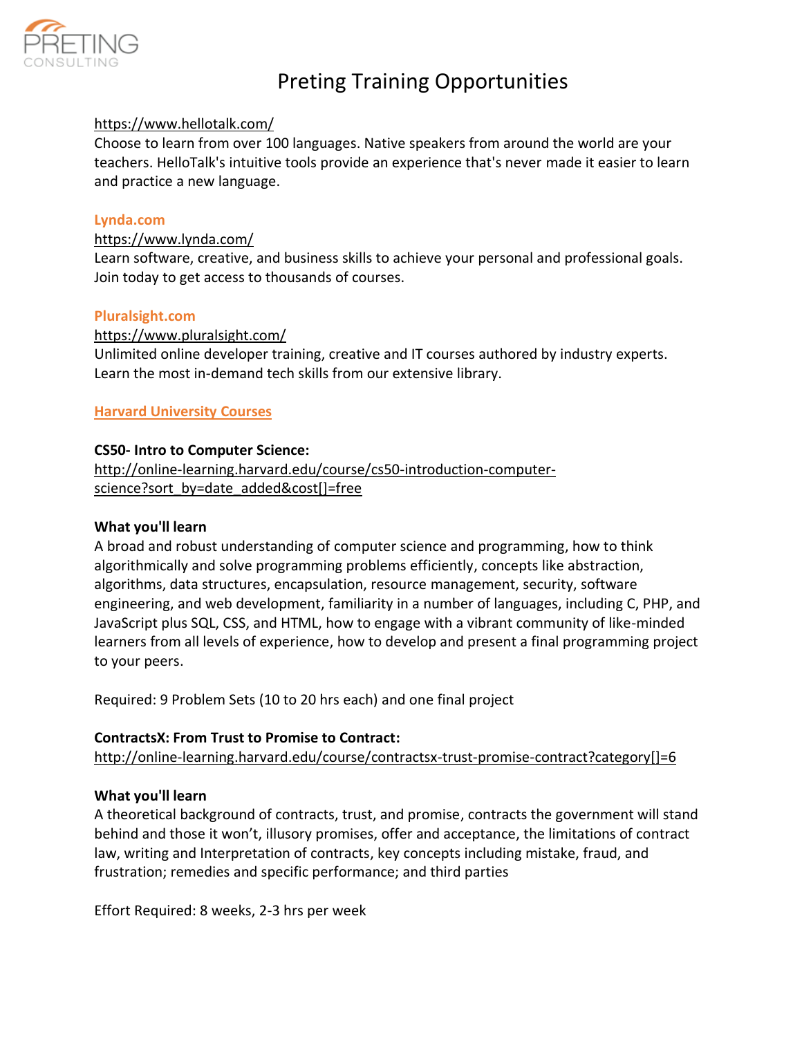

# https://www.hellotalk.com/

Choose to learn from over 100 languages. Native speakers from around the world are your teachers. HelloTalk's intuitive tools provide an experience that's never made it easier to learn and practice a new language.

### **Lynda.com**

#### https://www.lynda.com/

Learn software, creative, and business skills to achieve your personal and professional goals. Join today to get access to thousands of courses.

#### **Pluralsight.com**

# https://www.pluralsight.com/

Unlimited online developer training, creative and IT courses authored by industry experts. Learn the most in-demand tech skills from our extensive library.

# **Harvard University Courses**

#### **CS50- Intro to Computer Science:**

[http://online-learning.harvard.edu/course/cs50-introduction-computer](http://online-learning.harvard.edu/course/cs50-introduction-computer-science?sort_by=date_added&cost%5B%5D=free)[science?sort\\_by=date\\_added&cost\[\]=free](http://online-learning.harvard.edu/course/cs50-introduction-computer-science?sort_by=date_added&cost%5B%5D=free)

#### **What you'll learn**

A broad and robust understanding of computer science and programming, how to think algorithmically and solve programming problems efficiently, concepts like abstraction, algorithms, data structures, encapsulation, resource management, security, software engineering, and web development, familiarity in a number of languages, including C, PHP, and JavaScript plus SQL, CSS, and HTML, how to engage with a vibrant community of like-minded learners from all levels of experience, how to develop and present a final programming project to your peers.

Required: 9 Problem Sets (10 to 20 hrs each) and one final project

#### **ContractsX: From Trust to Promise to Contract:**

[http://online-learning.harvard.edu/course/contractsx-trust-promise-contract?category\[\]=6](http://online-learning.harvard.edu/course/contractsx-trust-promise-contract?category%5B%5D=6)

# **What you'll learn**

A theoretical background of contracts, trust, and promise, contracts the government will stand behind and those it won't, illusory promises, offer and acceptance, the limitations of contract law, writing and Interpretation of contracts, key concepts including mistake, fraud, and frustration; remedies and specific performance; and third parties

Effort Required: 8 weeks, 2-3 hrs per week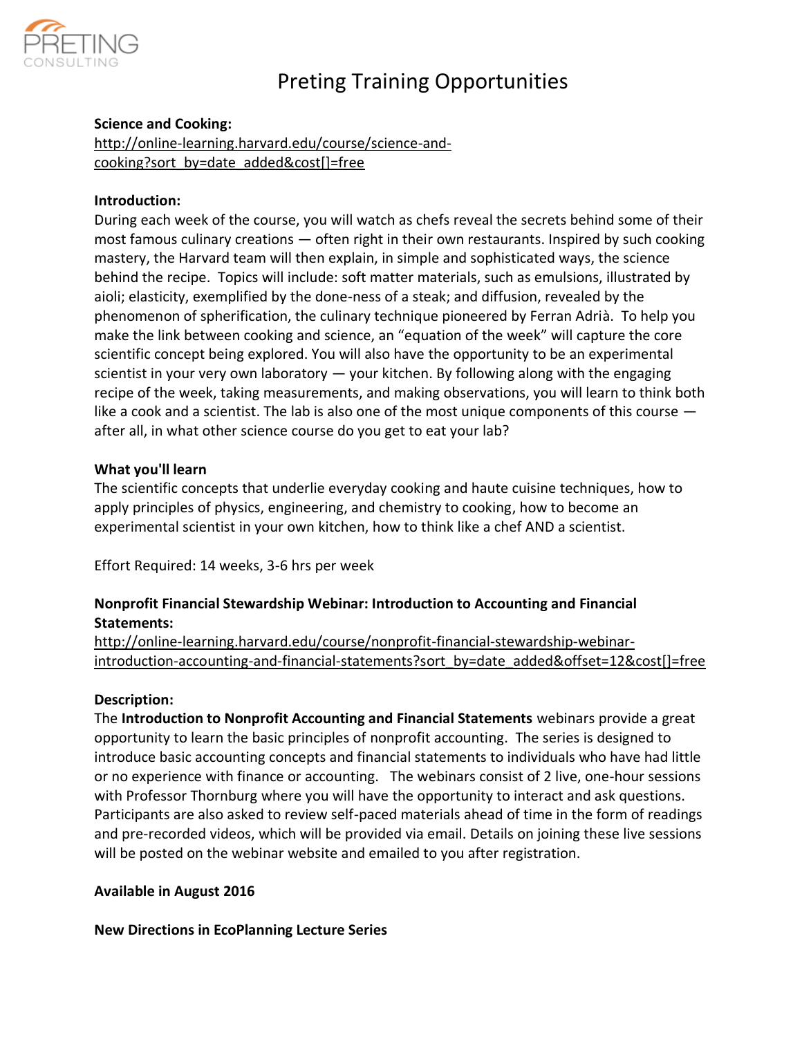

# **Science and Cooking:**

[http://online-learning.harvard.edu/course/science-and](http://online-learning.harvard.edu/course/science-and-cooking?sort_by=date_added&cost%5B%5D=free)[cooking?sort\\_by=date\\_added&cost\[\]=free](http://online-learning.harvard.edu/course/science-and-cooking?sort_by=date_added&cost%5B%5D=free)

# **Introduction:**

During each week of the course, you will watch as chefs reveal the secrets behind some of their most famous culinary creations — often right in their own restaurants. Inspired by such cooking mastery, the Harvard team will then explain, in simple and sophisticated ways, the science behind the recipe. Topics will include: soft matter materials, such as emulsions, illustrated by aioli; elasticity, exemplified by the done-ness of a steak; and diffusion, revealed by the phenomenon of spherification, the culinary technique pioneered by Ferran Adrià. To help you make the link between cooking and science, an "equation of the week" will capture the core scientific concept being explored. You will also have the opportunity to be an experimental scientist in your very own laboratory  $-$  your kitchen. By following along with the engaging recipe of the week, taking measurements, and making observations, you will learn to think both like a cook and a scientist. The lab is also one of the most unique components of this course after all, in what other science course do you get to eat your lab?

# **What you'll learn**

The scientific concepts that underlie everyday cooking and haute cuisine techniques, how to apply principles of physics, engineering, and chemistry to cooking, how to become an experimental scientist in your own kitchen, how to think like a chef AND a scientist.

Effort Required: 14 weeks, 3-6 hrs per week

# **Nonprofit Financial Stewardship Webinar: Introduction to Accounting and Financial Statements:**

[http://online-learning.harvard.edu/course/nonprofit-financial-stewardship-webinar](http://online-learning.harvard.edu/course/nonprofit-financial-stewardship-webinar-introduction-accounting-and-financial-statements?sort_by=date_added&offset=12&cost%5B%5D=free)[introduction-accounting-and-financial-statements?sort\\_by=date\\_added&offset=12&cost\[\]=free](http://online-learning.harvard.edu/course/nonprofit-financial-stewardship-webinar-introduction-accounting-and-financial-statements?sort_by=date_added&offset=12&cost%5B%5D=free)

# **Description:**

The **Introduction to Nonprofit Accounting and Financial Statements** webinars provide a great opportunity to learn the basic principles of nonprofit accounting. The series is designed to introduce basic accounting concepts and financial statements to individuals who have had little or no experience with finance or accounting. The webinars consist of 2 live, one-hour sessions with Professor Thornburg where you will have the opportunity to interact and ask questions. Participants are also asked to review self-paced materials ahead of time in the form of readings and pre-recorded videos, which will be provided via email. Details on joining these live sessions will be posted on the webinar website and emailed to you after registration.

# **Available in August 2016**

**New Directions in EcoPlanning Lecture Series**